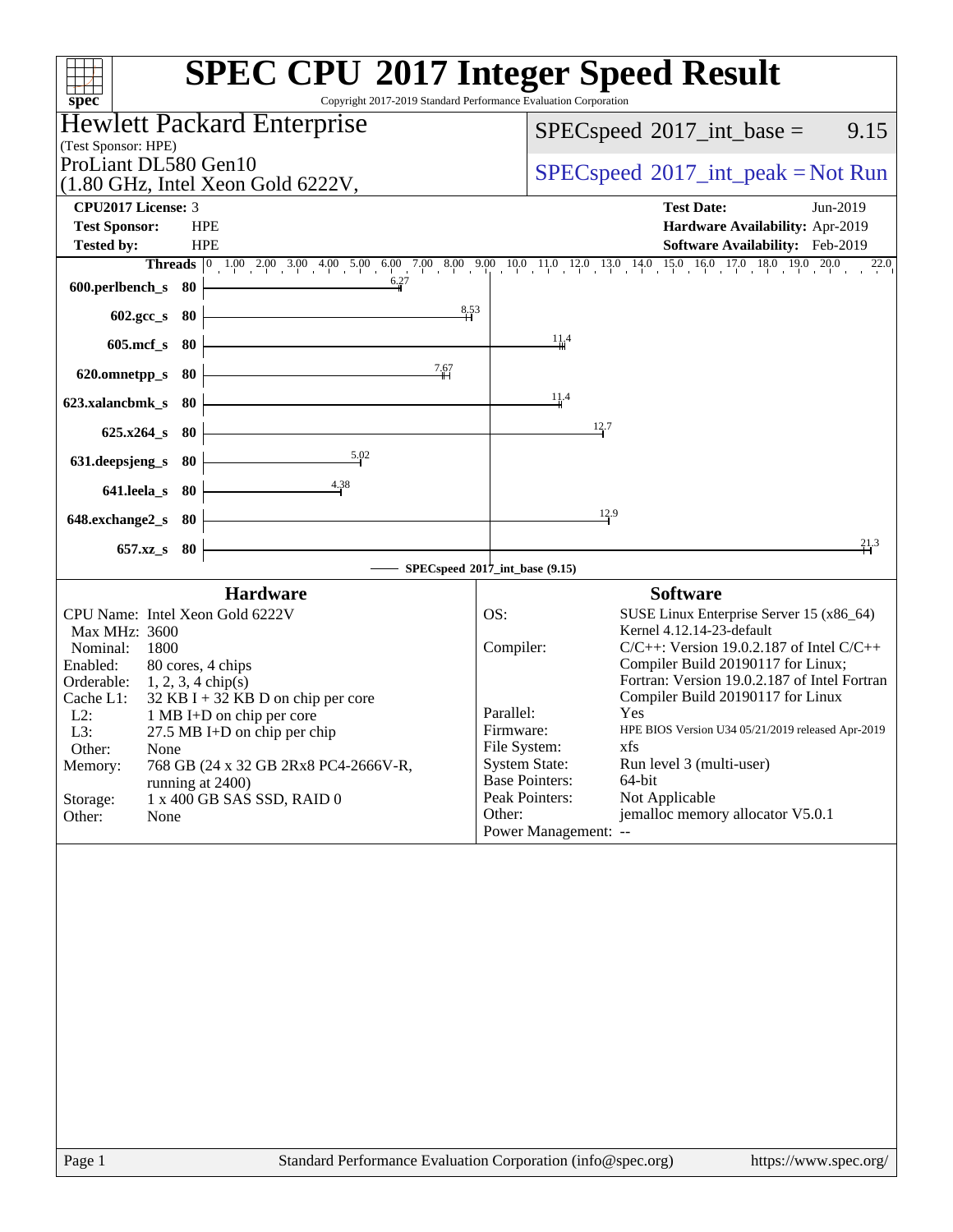| Copyright 2017-2019 Standard Performance Evaluation Corporation<br>spec <sup>®</sup>     | <b>SPEC CPU®2017 Integer Speed Result</b>                                                                                    |
|------------------------------------------------------------------------------------------|------------------------------------------------------------------------------------------------------------------------------|
| <b>Hewlett Packard Enterprise</b>                                                        |                                                                                                                              |
| (Test Sponsor: HPE)                                                                      | $SPEC speed^{\circ}2017\_int\_base =$<br>9.15                                                                                |
| ProLiant DL580 Gen10                                                                     |                                                                                                                              |
| $(1.80 \text{ GHz}, \text{Intel Xeon Gold } 6222V,$                                      | $SPEC speed^{\circ}2017\_int\_peak = Not Run$                                                                                |
| <b>CPU2017 License: 3</b>                                                                | <b>Test Date:</b><br>Jun-2019                                                                                                |
| <b>Test Sponsor:</b><br><b>HPE</b>                                                       | Hardware Availability: Apr-2019                                                                                              |
| <b>Tested by:</b><br><b>HPE</b>                                                          | Software Availability: Feb-2019                                                                                              |
|                                                                                          | <b>Threads</b> 0 1.00 2.00 3.00 4.00 5.00 6.00 7.00 8.00 9.00 10.0 11.0 12.0 13.0 14.0 15.0 16.0 17.0 18.0 19.0 20.0<br>22.0 |
| 6.27<br>600.perlbench_s 80                                                               |                                                                                                                              |
| 8.53<br>602.gcc_s 80                                                                     |                                                                                                                              |
|                                                                                          | 11.4                                                                                                                         |
| $605$ .mcf_s<br>- 80                                                                     |                                                                                                                              |
| 7.67<br>80<br>620.omnetpp_s                                                              |                                                                                                                              |
| 623.xalancbmk s 80                                                                       | 11.4                                                                                                                         |
|                                                                                          | 12.7                                                                                                                         |
| 625.x264_s 80                                                                            |                                                                                                                              |
| 5.02<br>631.deepsjeng_s<br>80                                                            |                                                                                                                              |
| 4.38<br>641.leela_s 80                                                                   |                                                                                                                              |
|                                                                                          | 12.9                                                                                                                         |
| 648.exchange2_s 80                                                                       |                                                                                                                              |
| 657.xz_s 80                                                                              | 21.3                                                                                                                         |
|                                                                                          | SPECspeed®2017_int_base (9.15)                                                                                               |
| <b>Hardware</b>                                                                          | <b>Software</b>                                                                                                              |
| CPU Name: Intel Xeon Gold 6222V                                                          | OS:<br>SUSE Linux Enterprise Server 15 (x86_64)<br>Kernel 4.12.14-23-default                                                 |
| Max MHz: 3600<br>1800<br>Nominal:                                                        | Compiler:<br>$C/C++$ : Version 19.0.2.187 of Intel $C/C++$                                                                   |
| 80 cores, 4 chips<br>Enabled:                                                            | Compiler Build 20190117 for Linux;                                                                                           |
| Orderable:<br>$1, 2, 3, 4 \text{ chip}(s)$                                               | Fortran: Version 19.0.2.187 of Intel Fortran                                                                                 |
| Cache L1:<br>$32$ KB I + 32 KB D on chip per core<br>$L2$ :<br>1 MB I+D on chip per core | Compiler Build 20190117 for Linux<br>Parallel:<br>Yes                                                                        |
| L3:<br>27.5 MB I+D on chip per chip                                                      | HPE BIOS Version U34 05/21/2019 released Apr-2019<br>Firmware:                                                               |
| Other:<br>None                                                                           | File System:<br>xfs                                                                                                          |
| Memory:<br>768 GB (24 x 32 GB 2Rx8 PC4-2666V-R,                                          | <b>System State:</b><br>Run level 3 (multi-user)<br><b>Base Pointers:</b><br>64-bit                                          |
| running at 2400)<br>1 x 400 GB SAS SSD, RAID 0<br>Storage:                               | Peak Pointers:<br>Not Applicable                                                                                             |
| Other:<br>None                                                                           | jemalloc memory allocator V5.0.1<br>Other:                                                                                   |
|                                                                                          | Power Management: --                                                                                                         |
|                                                                                          |                                                                                                                              |
|                                                                                          |                                                                                                                              |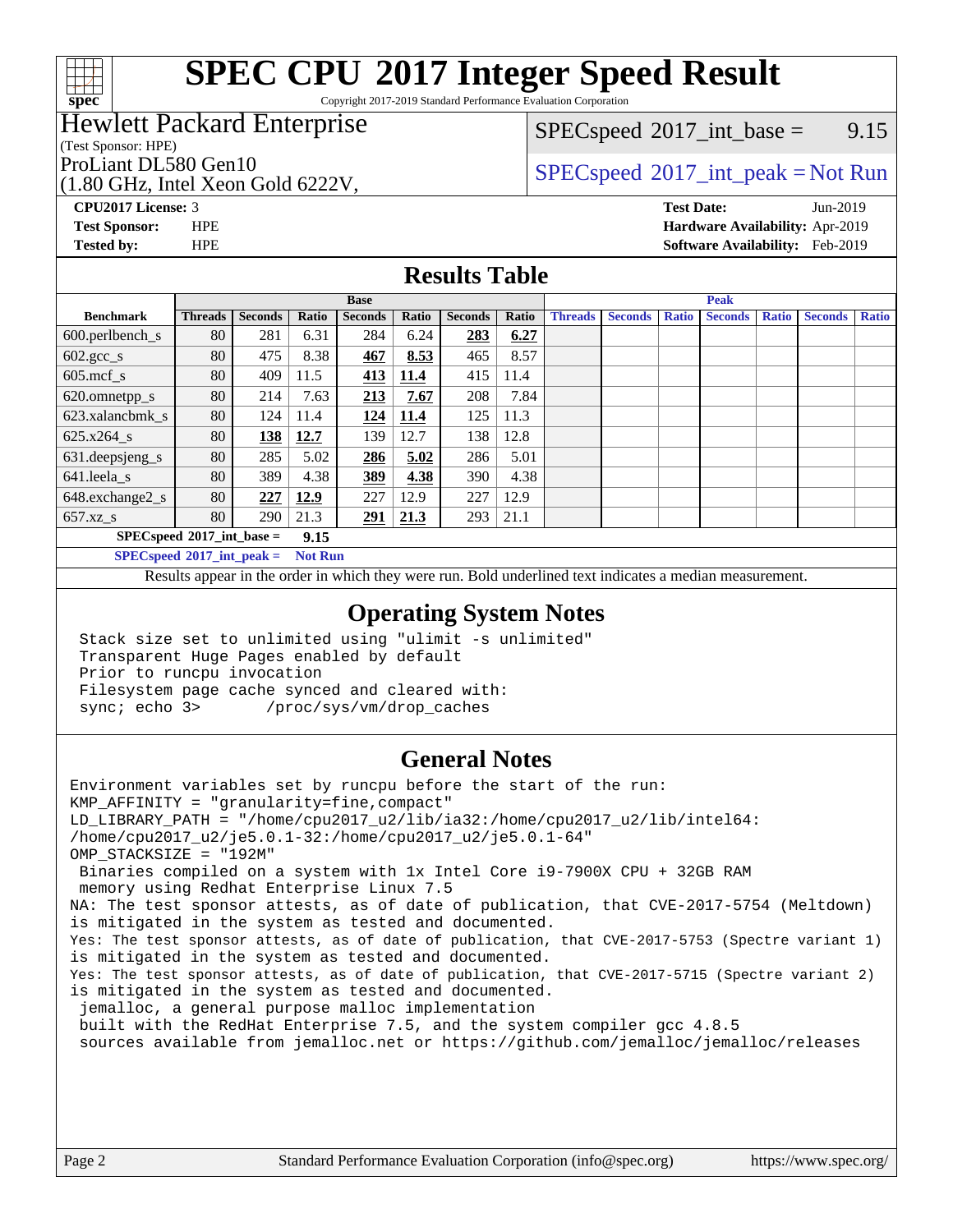

# **[SPEC CPU](http://www.spec.org/auto/cpu2017/Docs/result-fields.html#SPECCPU2017IntegerSpeedResult)[2017 Integer Speed Result](http://www.spec.org/auto/cpu2017/Docs/result-fields.html#SPECCPU2017IntegerSpeedResult)**

Copyright 2017-2019 Standard Performance Evaluation Corporation

### Hewlett Packard Enterprise

(Test Sponsor: HPE)

(1.80 GHz, Intel Xeon Gold 6222V,

 $SPECspeed^{\circledcirc}2017\_int\_base =$  $SPECspeed^{\circledcirc}2017\_int\_base =$  9.15

### ProLiant DL580 Gen10  $SPEC speed^{\circ}2017\_int\_peak = Not Run$

**[CPU2017 License:](http://www.spec.org/auto/cpu2017/Docs/result-fields.html#CPU2017License)** 3 **[Test Date:](http://www.spec.org/auto/cpu2017/Docs/result-fields.html#TestDate)** Jun-2019 **[Test Sponsor:](http://www.spec.org/auto/cpu2017/Docs/result-fields.html#TestSponsor)** HPE **[Hardware Availability:](http://www.spec.org/auto/cpu2017/Docs/result-fields.html#HardwareAvailability)** Apr-2019 **[Tested by:](http://www.spec.org/auto/cpu2017/Docs/result-fields.html#Testedby)** HPE **[Software Availability:](http://www.spec.org/auto/cpu2017/Docs/result-fields.html#SoftwareAvailability)** Feb-2019

### **[Results Table](http://www.spec.org/auto/cpu2017/Docs/result-fields.html#ResultsTable)**

|                                     | <b>Base</b>    |                |       |                |       |                | <b>Peak</b> |                |                |              |                |              |                |              |
|-------------------------------------|----------------|----------------|-------|----------------|-------|----------------|-------------|----------------|----------------|--------------|----------------|--------------|----------------|--------------|
| <b>Benchmark</b>                    | <b>Threads</b> | <b>Seconds</b> | Ratio | <b>Seconds</b> | Ratio | <b>Seconds</b> | Ratio       | <b>Threads</b> | <b>Seconds</b> | <b>Ratio</b> | <b>Seconds</b> | <b>Ratio</b> | <b>Seconds</b> | <b>Ratio</b> |
| $600.$ perlbench_s                  | 80             | 281            | 6.31  | 284            | 6.24  | 283            | 6.27        |                |                |              |                |              |                |              |
| $602.\text{gcc}\_\text{s}$          | 80             | 475            | 8.38  | 467            | 8.53  | 465            | 8.57        |                |                |              |                |              |                |              |
| $605$ .mcf s                        | 80             | 409            | 11.5  | 413            | 11.4  | 415            | 11.4        |                |                |              |                |              |                |              |
| 620.omnetpp_s                       | 80             | 214            | 7.63  | 213            | 7.67  | 208            | 7.84        |                |                |              |                |              |                |              |
| 623.xalancbmk s                     | 80             | 124            | 11.4  | <u>124</u>     | 11.4  | 125            | 11.3        |                |                |              |                |              |                |              |
| 625.x264 s                          | 80             | 138            | 12.7  | 139            | 12.7  | 138            | 12.8        |                |                |              |                |              |                |              |
| 631.deepsjeng_s                     | 80             | 285            | 5.02  | 286            | 5.02  | 286            | 5.01        |                |                |              |                |              |                |              |
| $641.$ leela_s                      | 80             | 389            | 4.38  | 389            | 4.38  | 390            | 4.38        |                |                |              |                |              |                |              |
| 648.exchange2_s                     | 80             | 227            | 12.9  | 227            | 12.9  | 227            | 12.9        |                |                |              |                |              |                |              |
| $657.xz$ s                          | 80             | 290            | 21.3  | 291            | 21.3  | 293            | 21.1        |                |                |              |                |              |                |              |
| $SPECspeed*2017$ int base =<br>9.15 |                |                |       |                |       |                |             |                |                |              |                |              |                |              |

**[SPECspeed](http://www.spec.org/auto/cpu2017/Docs/result-fields.html#SPECspeed2017intpeak)[2017\\_int\\_peak =](http://www.spec.org/auto/cpu2017/Docs/result-fields.html#SPECspeed2017intpeak) Not Run**

Results appear in the [order in which they were run.](http://www.spec.org/auto/cpu2017/Docs/result-fields.html#RunOrder) Bold underlined text [indicates a median measurement.](http://www.spec.org/auto/cpu2017/Docs/result-fields.html#Median)

### **[Operating System Notes](http://www.spec.org/auto/cpu2017/Docs/result-fields.html#OperatingSystemNotes)**

 Stack size set to unlimited using "ulimit -s unlimited" Transparent Huge Pages enabled by default Prior to runcpu invocation Filesystem page cache synced and cleared with: sync; echo 3> /proc/sys/vm/drop\_caches

### **[General Notes](http://www.spec.org/auto/cpu2017/Docs/result-fields.html#GeneralNotes)**

Environment variables set by runcpu before the start of the run: KMP\_AFFINITY = "granularity=fine,compact" LD\_LIBRARY\_PATH = "/home/cpu2017\_u2/lib/ia32:/home/cpu2017\_u2/lib/intel64: /home/cpu2017\_u2/je5.0.1-32:/home/cpu2017\_u2/je5.0.1-64" OMP\_STACKSIZE = "192M" Binaries compiled on a system with 1x Intel Core i9-7900X CPU + 32GB RAM memory using Redhat Enterprise Linux 7.5 NA: The test sponsor attests, as of date of publication, that CVE-2017-5754 (Meltdown) is mitigated in the system as tested and documented. Yes: The test sponsor attests, as of date of publication, that CVE-2017-5753 (Spectre variant 1) is mitigated in the system as tested and documented. Yes: The test sponsor attests, as of date of publication, that CVE-2017-5715 (Spectre variant 2) is mitigated in the system as tested and documented. jemalloc, a general purpose malloc implementation built with the RedHat Enterprise 7.5, and the system compiler gcc 4.8.5 sources available from jemalloc.net or<https://github.com/jemalloc/jemalloc/releases>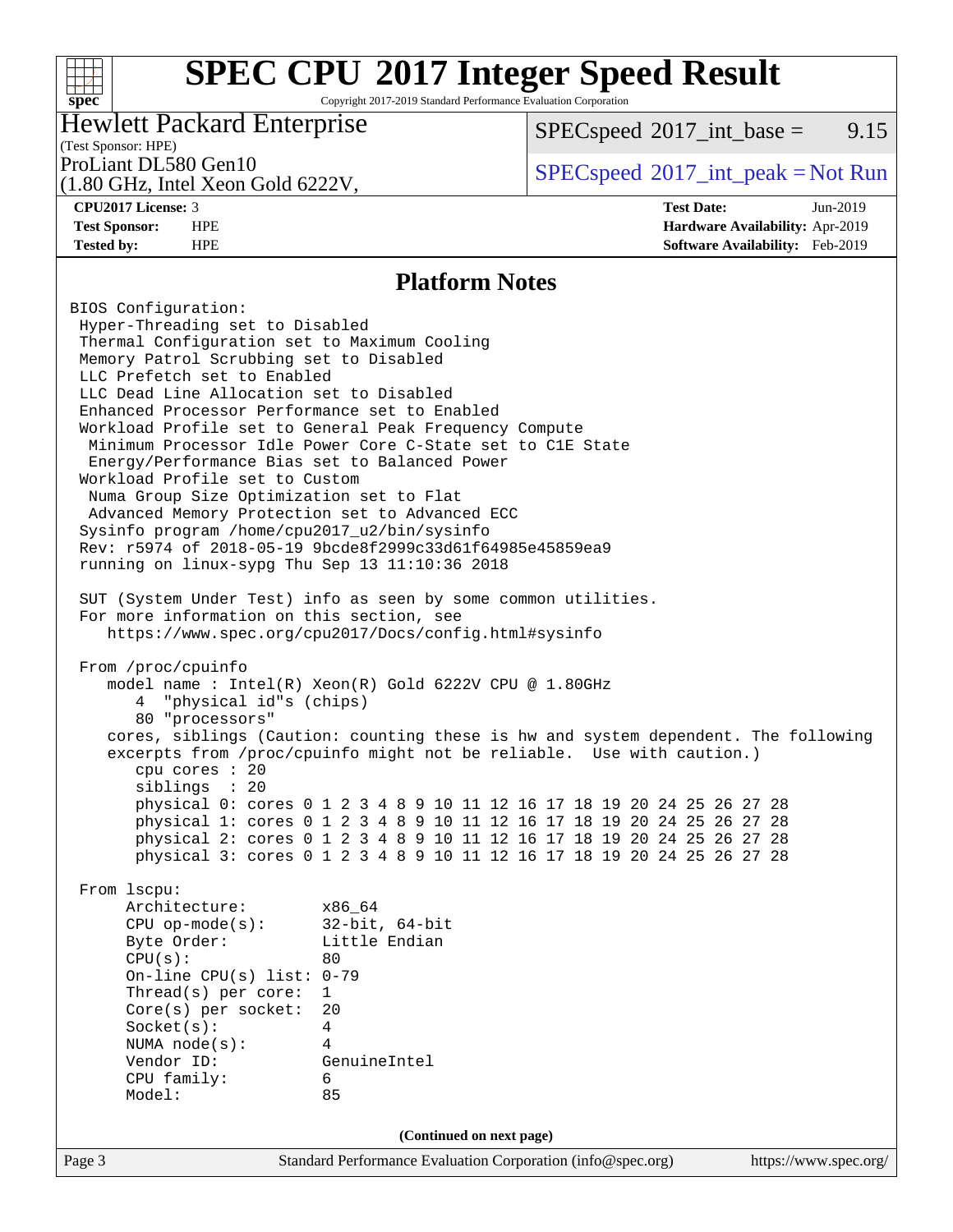### **[SPEC CPU](http://www.spec.org/auto/cpu2017/Docs/result-fields.html#SPECCPU2017IntegerSpeedResult)[2017 Integer Speed Result](http://www.spec.org/auto/cpu2017/Docs/result-fields.html#SPECCPU2017IntegerSpeedResult)** Copyright 2017-2019 Standard Performance Evaluation Corporation

### Hewlett Packard Enterprise

 $SPECspeed^{\circledcirc}2017\_int\_base =$  $SPECspeed^{\circledcirc}2017\_int\_base =$  9.15

### (Test Sponsor: HPE)

(1.80 GHz, Intel Xeon Gold 6222V,

**[spec](http://www.spec.org/)**

 $+\hskip -1.5pt +\hskip -1.5pt +$ 

ProLiant DL580 Gen10  $SPEC speed^{\circ}2017\_int\_peak = Not Run$ 

**[CPU2017 License:](http://www.spec.org/auto/cpu2017/Docs/result-fields.html#CPU2017License)** 3 **[Test Date:](http://www.spec.org/auto/cpu2017/Docs/result-fields.html#TestDate)** Jun-2019 **[Test Sponsor:](http://www.spec.org/auto/cpu2017/Docs/result-fields.html#TestSponsor)** HPE **[Hardware Availability:](http://www.spec.org/auto/cpu2017/Docs/result-fields.html#HardwareAvailability)** Apr-2019 **[Tested by:](http://www.spec.org/auto/cpu2017/Docs/result-fields.html#Testedby)** HPE **[Software Availability:](http://www.spec.org/auto/cpu2017/Docs/result-fields.html#SoftwareAvailability)** Feb-2019

### **[Platform Notes](http://www.spec.org/auto/cpu2017/Docs/result-fields.html#PlatformNotes)**

Page 3 Standard Performance Evaluation Corporation [\(info@spec.org\)](mailto:info@spec.org) <https://www.spec.org/> BIOS Configuration: Hyper-Threading set to Disabled Thermal Configuration set to Maximum Cooling Memory Patrol Scrubbing set to Disabled LLC Prefetch set to Enabled LLC Dead Line Allocation set to Disabled Enhanced Processor Performance set to Enabled Workload Profile set to General Peak Frequency Compute Minimum Processor Idle Power Core C-State set to C1E State Energy/Performance Bias set to Balanced Power Workload Profile set to Custom Numa Group Size Optimization set to Flat Advanced Memory Protection set to Advanced ECC Sysinfo program /home/cpu2017\_u2/bin/sysinfo Rev: r5974 of 2018-05-19 9bcde8f2999c33d61f64985e45859ea9 running on linux-sypg Thu Sep 13 11:10:36 2018 SUT (System Under Test) info as seen by some common utilities. For more information on this section, see <https://www.spec.org/cpu2017/Docs/config.html#sysinfo> From /proc/cpuinfo model name : Intel(R) Xeon(R) Gold 6222V CPU @ 1.80GHz 4 "physical id"s (chips) 80 "processors" cores, siblings (Caution: counting these is hw and system dependent. The following excerpts from /proc/cpuinfo might not be reliable. Use with caution.) cpu cores : 20 siblings : 20 physical 0: cores 0 1 2 3 4 8 9 10 11 12 16 17 18 19 20 24 25 26 27 28 physical 1: cores 0 1 2 3 4 8 9 10 11 12 16 17 18 19 20 24 25 26 27 28 physical 2: cores 0 1 2 3 4 8 9 10 11 12 16 17 18 19 20 24 25 26 27 28 physical 3: cores 0 1 2 3 4 8 9 10 11 12 16 17 18 19 20 24 25 26 27 28 From lscpu: Architecture: x86\_64 CPU op-mode(s): 32-bit, 64-bit Byte Order:  $CPU(s):$  80 On-line CPU(s) list: 0-79 Thread(s) per core: 1 Core(s) per socket: 20 Socket(s): 4 NUMA node(s): 4 Vendor ID: GenuineIntel CPU family: 6 Model: 85 **(Continued on next page)**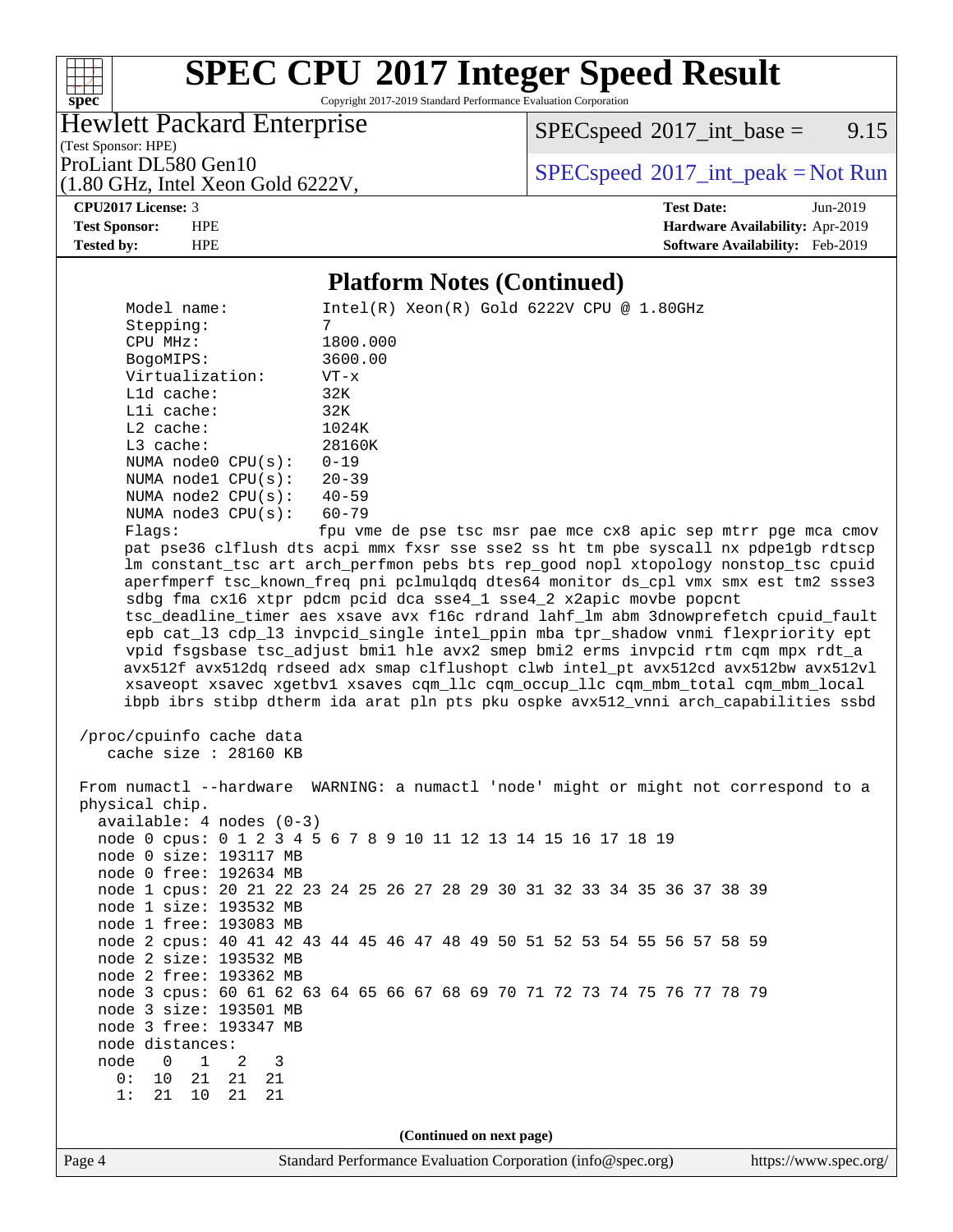# **[SPEC CPU](http://www.spec.org/auto/cpu2017/Docs/result-fields.html#SPECCPU2017IntegerSpeedResult)[2017 Integer Speed Result](http://www.spec.org/auto/cpu2017/Docs/result-fields.html#SPECCPU2017IntegerSpeedResult)**

Copyright 2017-2019 Standard Performance Evaluation Corporation

Hewlett Packard Enterprise

 $SPECspeed^{\circledcirc}2017\_int\_base =$  $SPECspeed^{\circledcirc}2017\_int\_base =$  9.15

(Test Sponsor: HPE) (1.80 GHz, Intel Xeon Gold 6222V,

ProLiant DL580 Gen10  $SPEC speed^{\circ}2017\_int\_peak = Not Run$ 

**[spec](http://www.spec.org/)**

 $+\!\!+\!\!$ 

**[CPU2017 License:](http://www.spec.org/auto/cpu2017/Docs/result-fields.html#CPU2017License)** 3 **[Test Date:](http://www.spec.org/auto/cpu2017/Docs/result-fields.html#TestDate)** Jun-2019 **[Test Sponsor:](http://www.spec.org/auto/cpu2017/Docs/result-fields.html#TestSponsor)** HPE **[Hardware Availability:](http://www.spec.org/auto/cpu2017/Docs/result-fields.html#HardwareAvailability)** Apr-2019 **[Tested by:](http://www.spec.org/auto/cpu2017/Docs/result-fields.html#Testedby)** HPE **[Software Availability:](http://www.spec.org/auto/cpu2017/Docs/result-fields.html#SoftwareAvailability)** Feb-2019

### **[Platform Notes \(Continued\)](http://www.spec.org/auto/cpu2017/Docs/result-fields.html#PlatformNotes)**

Page 4 Standard Performance Evaluation Corporation [\(info@spec.org\)](mailto:info@spec.org) <https://www.spec.org/> Model name: Intel(R) Xeon(R) Gold 6222V CPU @ 1.80GHz Stepping: 7 CPU MHz: 1800.000 BogoMIPS: 3600.00 Virtualization: VT-x L1d cache: 32K L1i cache: 32K L2 cache: 1024K L3 cache: 28160K NUMA node0 CPU(s): 0-19 NUMA node1 CPU(s): 20-39 NUMA node2 CPU(s): 40-59 NUMA node3 CPU(s): 60-79 Flags: fpu vme de pse tsc msr pae mce cx8 apic sep mtrr pge mca cmov pat pse36 clflush dts acpi mmx fxsr sse sse2 ss ht tm pbe syscall nx pdpe1gb rdtscp lm constant\_tsc art arch\_perfmon pebs bts rep\_good nopl xtopology nonstop\_tsc cpuid aperfmperf tsc\_known\_freq pni pclmulqdq dtes64 monitor ds\_cpl vmx smx est tm2 ssse3 sdbg fma cx16 xtpr pdcm pcid dca sse4\_1 sse4\_2 x2apic movbe popcnt tsc\_deadline\_timer aes xsave avx f16c rdrand lahf\_lm abm 3dnowprefetch cpuid\_fault epb cat\_l3 cdp\_l3 invpcid\_single intel\_ppin mba tpr\_shadow vnmi flexpriority ept vpid fsgsbase tsc\_adjust bmi1 hle avx2 smep bmi2 erms invpcid rtm cqm mpx rdt\_a avx512f avx512dq rdseed adx smap clflushopt clwb intel\_pt avx512cd avx512bw avx512vl xsaveopt xsavec xgetbv1 xsaves cqm\_llc cqm\_occup\_llc cqm\_mbm\_total cqm\_mbm\_local ibpb ibrs stibp dtherm ida arat pln pts pku ospke avx512\_vnni arch\_capabilities ssbd /proc/cpuinfo cache data cache size : 28160 KB From numactl --hardware WARNING: a numactl 'node' might or might not correspond to a physical chip. available: 4 nodes (0-3) node 0 cpus: 0 1 2 3 4 5 6 7 8 9 10 11 12 13 14 15 16 17 18 19 node 0 size: 193117 MB node 0 free: 192634 MB node 1 cpus: 20 21 22 23 24 25 26 27 28 29 30 31 32 33 34 35 36 37 38 39 node 1 size: 193532 MB node 1 free: 193083 MB node 2 cpus: 40 41 42 43 44 45 46 47 48 49 50 51 52 53 54 55 56 57 58 59 node 2 size: 193532 MB node 2 free: 193362 MB node 3 cpus: 60 61 62 63 64 65 66 67 68 69 70 71 72 73 74 75 76 77 78 79 node 3 size: 193501 MB node 3 free: 193347 MB node distances: node 0 1 2 3 0: 10 21 21 21 1: 21 10 21 21 **(Continued on next page)**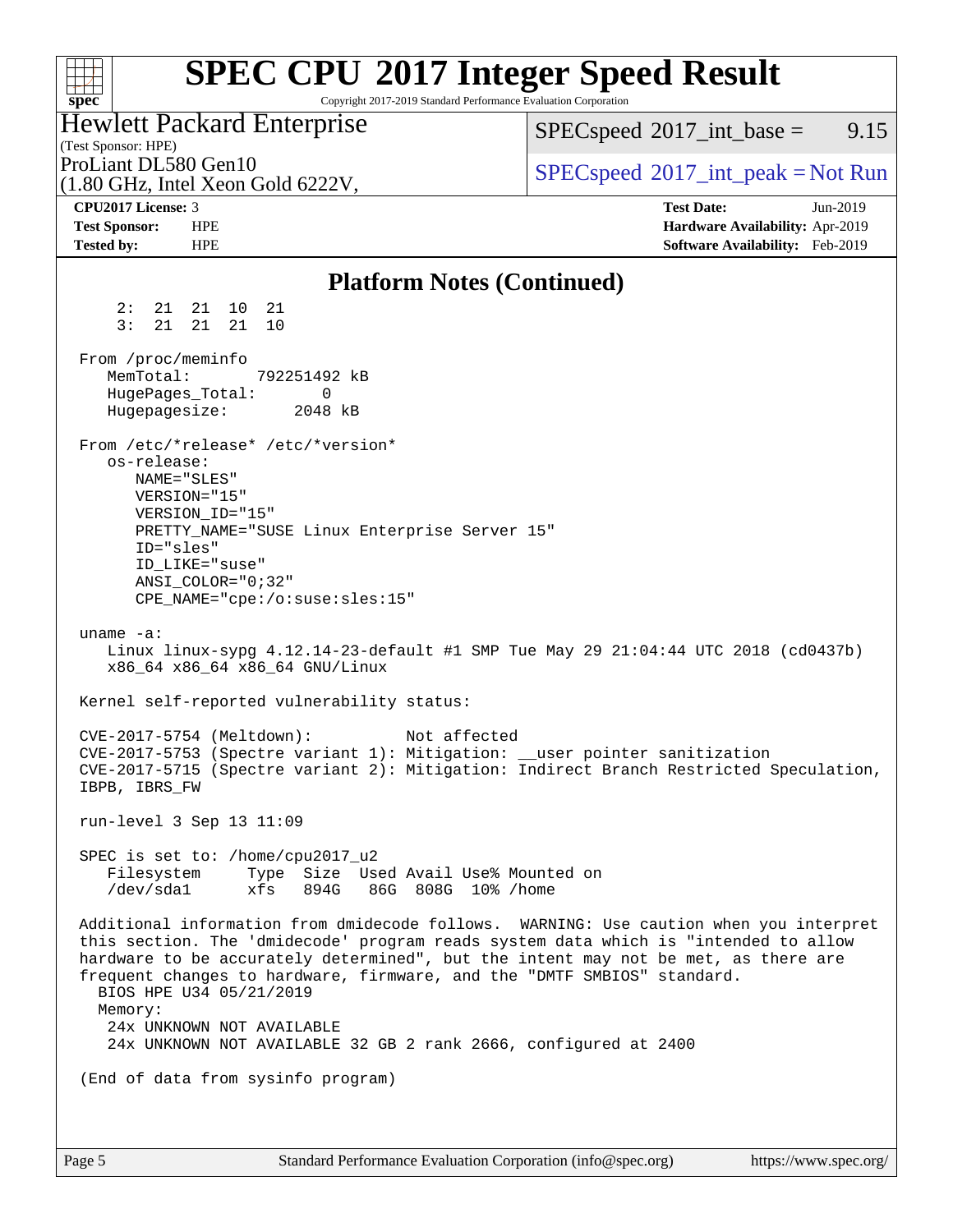#### **[SPEC CPU](http://www.spec.org/auto/cpu2017/Docs/result-fields.html#SPECCPU2017IntegerSpeedResult)[2017 Integer Speed Result](http://www.spec.org/auto/cpu2017/Docs/result-fields.html#SPECCPU2017IntegerSpeedResult)**  $+\ +$ Copyright 2017-2019 Standard Performance Evaluation Corporation **[spec](http://www.spec.org/)** Hewlett Packard Enterprise  $SPECspeed^{\circledcirc}2017\_int\_base =$  $SPECspeed^{\circledcirc}2017\_int\_base =$  9.15 (Test Sponsor: HPE) ProLiant DL580 Gen10  $SPEC speed^{\circ}2017\_int\_peak = Not Run$ (1.80 GHz, Intel Xeon Gold 6222V, **[CPU2017 License:](http://www.spec.org/auto/cpu2017/Docs/result-fields.html#CPU2017License)** 3 **[Test Date:](http://www.spec.org/auto/cpu2017/Docs/result-fields.html#TestDate)** Jun-2019 **[Test Sponsor:](http://www.spec.org/auto/cpu2017/Docs/result-fields.html#TestSponsor)** HPE **[Hardware Availability:](http://www.spec.org/auto/cpu2017/Docs/result-fields.html#HardwareAvailability)** Apr-2019 **[Tested by:](http://www.spec.org/auto/cpu2017/Docs/result-fields.html#Testedby)** HPE **[Software Availability:](http://www.spec.org/auto/cpu2017/Docs/result-fields.html#SoftwareAvailability)** Feb-2019 **[Platform Notes \(Continued\)](http://www.spec.org/auto/cpu2017/Docs/result-fields.html#PlatformNotes)** 2: 21 21 10 21 3: 21 21 21 10 From /proc/meminfo MemTotal: 792251492 kB HugePages\_Total: 0 Hugepagesize: 2048 kB From /etc/\*release\* /etc/\*version\* os-release: NAME="SLES" VERSION="15" VERSION\_ID="15" PRETTY\_NAME="SUSE Linux Enterprise Server 15" ID="sles" ID\_LIKE="suse" ANSI\_COLOR="0;32" CPE\_NAME="cpe:/o:suse:sles:15" uname -a: Linux linux-sypg 4.12.14-23-default #1 SMP Tue May 29 21:04:44 UTC 2018 (cd0437b) x86\_64 x86\_64 x86\_64 GNU/Linux Kernel self-reported vulnerability status: CVE-2017-5754 (Meltdown): Not affected CVE-2017-5753 (Spectre variant 1): Mitigation: \_\_user pointer sanitization CVE-2017-5715 (Spectre variant 2): Mitigation: Indirect Branch Restricted Speculation, IBPB, IBRS\_FW run-level 3 Sep 13 11:09 SPEC is set to: /home/cpu2017\_u2 Filesystem Type Size Used Avail Use% Mounted on /dev/sda1 xfs 894G 86G 808G 10% /home Additional information from dmidecode follows. WARNING: Use caution when you interpret this section. The 'dmidecode' program reads system data which is "intended to allow hardware to be accurately determined", but the intent may not be met, as there are frequent changes to hardware, firmware, and the "DMTF SMBIOS" standard. BIOS HPE U34 05/21/2019 Memory: 24x UNKNOWN NOT AVAILABLE 24x UNKNOWN NOT AVAILABLE 32 GB 2 rank 2666, configured at 2400 (End of data from sysinfo program)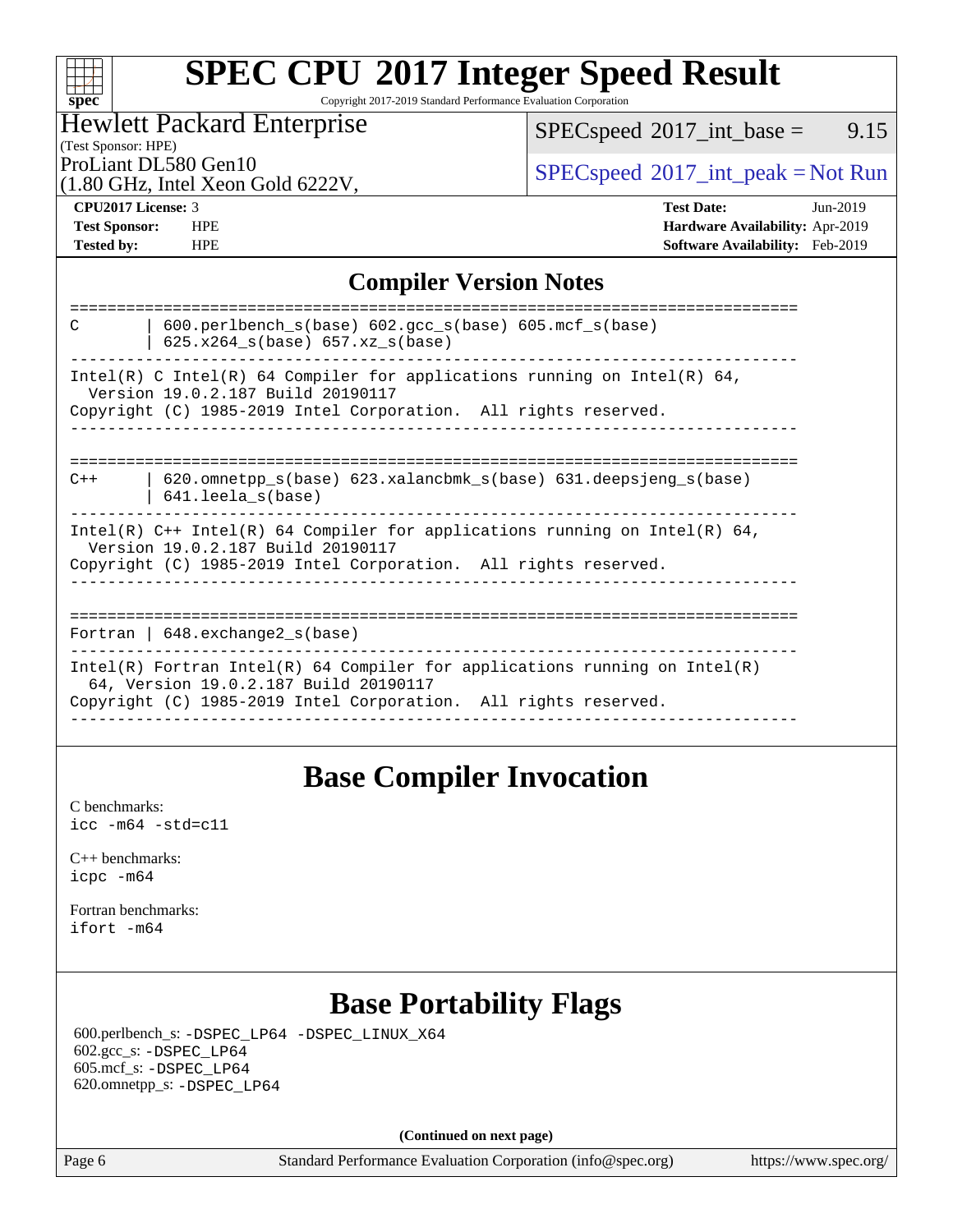### **[SPEC CPU](http://www.spec.org/auto/cpu2017/Docs/result-fields.html#SPECCPU2017IntegerSpeedResult)[2017 Integer Speed Result](http://www.spec.org/auto/cpu2017/Docs/result-fields.html#SPECCPU2017IntegerSpeedResult)** Copyright 2017-2019 Standard Performance Evaluation Corporation

### Hewlett Packard Enterprise

 $SPEC speed^{\circ}2017\_int\_base =$  9.15

### (Test Sponsor: HPE)

(1.80 GHz, Intel Xeon Gold 6222V,

ProLiant DL580 Gen10<br>  $\begin{array}{c}\n\text{SPEC speed} \text{PLO} \\
\text{SPEC speed} \text{PLO} \\
\text{PLO speed} \text{PLO} \\
\text{PLO} \\
\text{PLO} \\
\text{PLO} \\
\text{PLO} \\
\text{PLO} \\
\text{PLO} \\
\text{PLO} \\
\text{PLO} \\
\text{PLO} \\
\text{PLO} \\
\text{PLO} \\
\text{PLO} \\
\text{PLO} \\
\text{PLO} \\
\text{PLO} \\
\text{PLO} \\
\text{PLO} \\
\text{PLO} \\
\text{PLO} \\
\text{PLO} \\
\text{PLO} \\
\$ 

**[spec](http://www.spec.org/)**

 $+\ +$ 

**[Tested by:](http://www.spec.org/auto/cpu2017/Docs/result-fields.html#Testedby)** HPE **[Software Availability:](http://www.spec.org/auto/cpu2017/Docs/result-fields.html#SoftwareAvailability)** Feb-2019

**[CPU2017 License:](http://www.spec.org/auto/cpu2017/Docs/result-fields.html#CPU2017License)** 3 **[Test Date:](http://www.spec.org/auto/cpu2017/Docs/result-fields.html#TestDate)** Jun-2019 **[Test Sponsor:](http://www.spec.org/auto/cpu2017/Docs/result-fields.html#TestSponsor)** HPE **[Hardware Availability:](http://www.spec.org/auto/cpu2017/Docs/result-fields.html#HardwareAvailability)** Apr-2019

### **[Compiler Version Notes](http://www.spec.org/auto/cpu2017/Docs/result-fields.html#CompilerVersionNotes)**

### **[Base Compiler Invocation](http://www.spec.org/auto/cpu2017/Docs/result-fields.html#BaseCompilerInvocation)**

[C benchmarks](http://www.spec.org/auto/cpu2017/Docs/result-fields.html#Cbenchmarks): [icc -m64 -std=c11](http://www.spec.org/cpu2017/results/res2019q4/cpu2017-20190819-16807.flags.html#user_CCbase_intel_icc_64bit_c11_33ee0cdaae7deeeab2a9725423ba97205ce30f63b9926c2519791662299b76a0318f32ddfffdc46587804de3178b4f9328c46fa7c2b0cd779d7a61945c91cd35)

[C++ benchmarks:](http://www.spec.org/auto/cpu2017/Docs/result-fields.html#CXXbenchmarks) [icpc -m64](http://www.spec.org/cpu2017/results/res2019q4/cpu2017-20190819-16807.flags.html#user_CXXbase_intel_icpc_64bit_4ecb2543ae3f1412ef961e0650ca070fec7b7afdcd6ed48761b84423119d1bf6bdf5cad15b44d48e7256388bc77273b966e5eb805aefd121eb22e9299b2ec9d9)

[Fortran benchmarks](http://www.spec.org/auto/cpu2017/Docs/result-fields.html#Fortranbenchmarks): [ifort -m64](http://www.spec.org/cpu2017/results/res2019q4/cpu2017-20190819-16807.flags.html#user_FCbase_intel_ifort_64bit_24f2bb282fbaeffd6157abe4f878425411749daecae9a33200eee2bee2fe76f3b89351d69a8130dd5949958ce389cf37ff59a95e7a40d588e8d3a57e0c3fd751)

## **[Base Portability Flags](http://www.spec.org/auto/cpu2017/Docs/result-fields.html#BasePortabilityFlags)**

 600.perlbench\_s: [-DSPEC\\_LP64](http://www.spec.org/cpu2017/results/res2019q4/cpu2017-20190819-16807.flags.html#b600.perlbench_s_basePORTABILITY_DSPEC_LP64) [-DSPEC\\_LINUX\\_X64](http://www.spec.org/cpu2017/results/res2019q4/cpu2017-20190819-16807.flags.html#b600.perlbench_s_baseCPORTABILITY_DSPEC_LINUX_X64) 602.gcc\_s: [-DSPEC\\_LP64](http://www.spec.org/cpu2017/results/res2019q4/cpu2017-20190819-16807.flags.html#suite_basePORTABILITY602_gcc_s_DSPEC_LP64) 605.mcf\_s: [-DSPEC\\_LP64](http://www.spec.org/cpu2017/results/res2019q4/cpu2017-20190819-16807.flags.html#suite_basePORTABILITY605_mcf_s_DSPEC_LP64) 620.omnetpp\_s: [-DSPEC\\_LP64](http://www.spec.org/cpu2017/results/res2019q4/cpu2017-20190819-16807.flags.html#suite_basePORTABILITY620_omnetpp_s_DSPEC_LP64)

**(Continued on next page)**

Page 6 Standard Performance Evaluation Corporation [\(info@spec.org\)](mailto:info@spec.org) <https://www.spec.org/>